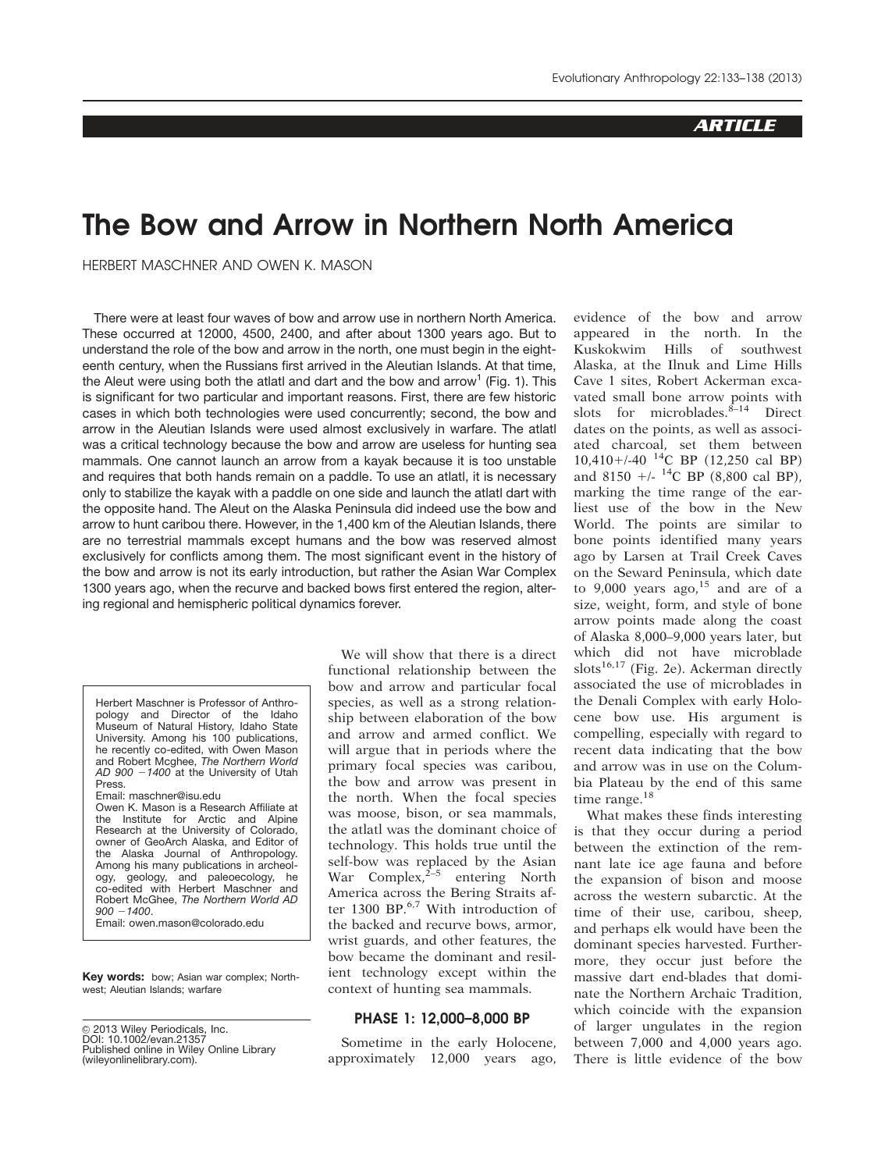# **ARTICLE**

# The Bow and Arrow in Northern North America

HERBERT MASCHNER AND OWEN K. MASON

There were at least four waves of bow and arrow use in northern North America. These occurred at 12000, 4500, 2400, and after about 1300 years ago. But to understand the role of the bow and arrow in the north, one must begin in the eighteenth century, when the Russians first arrived in the Aleutian Islands. At that time, the Aleut were using both the atlatl and dart and the bow and arrow<sup>1</sup> (Fig. 1). This is significant for two particular and important reasons. First, there are few historic cases in which both technologies were used concurrently; second, the bow and arrow in the Aleutian Islands were used almost exclusively in warfare. The atlatl was a critical technology because the bow and arrow are useless for hunting sea mammals. One cannot launch an arrow from a kayak because it is too unstable and requires that both hands remain on a paddle. To use an atlatl, it is necessary only to stabilize the kayak with a paddle on one side and launch the atlatl dart with the opposite hand. The Aleut on the Alaska Peninsula did indeed use the bow and arrow to hunt caribou there. However, in the 1,400 km of the Aleutian Islands, there are no terrestrial mammals except humans and the bow was reserved almost exclusively for conflicts among them. The most significant event in the history of the bow and arrow is not its early introduction, but rather the Asian War Complex 1300 years ago, when the recurve and backed bows first entered the region, altering regional and hemispheric political dynamics forever.

Herbert Maschner is Professor of Anthropology and Director of the Idaho Museum of Natural History, Idaho State University. Among his 100 publications, he recently co-edited, with Owen Mason and Robert Mcghee, The Northern World AD 900  $-1400$  at the University of Utah Press. Email: maschner@isu.edu Owen K. Mason is a Research Affiliate at the Institute for Arctic and Alpine Research at the University of Colorado, owner of GeoArch Alaska, and Editor of

the Alaska Journal of Anthropology. Among his many publications in archeology, geology, and paleoecology, he co-edited with Herbert Maschner and Robert McGhee, The Northern World AD  $900 - 1400$ 

Email: owen.mason@colorado.edu

Key words: bow; Asian war complex; Northwest; Aleutian Islands; warfare

© 2013 Wiley Periodicals, Inc. DOI: 10.1002/evan.21357 Published online in Wiley Online Library (wileyonlinelibrary.com).

We will show that there is a direct functional relationship between the bow and arrow and particular focal species, as well as a strong relationship between elaboration of the bow and arrow and armed conflict. We will argue that in periods where the primary focal species was caribou, the bow and arrow was present in the north. When the focal species was moose, bison, or sea mammals, the atlatl was the dominant choice of technology. This holds true until the self-bow was replaced by the Asian War Complex, $2-5$  entering North America across the Bering Straits after 1300 BP.<sup>6,7</sup> With introduction of the backed and recurve bows, armor, wrist guards, and other features, the bow became the dominant and resilient technology except within the context of hunting sea mammals.

#### PHASE 1: 12,000–8,000 BP

Sometime in the early Holocene, approximately 12,000 years ago,

evidence of the bow and arrow appeared in the north. In the Kuskokwim Hills of southwest Alaska, at the Ilnuk and Lime Hills Cave 1 sites, Robert Ackerman excavated small bone arrow points with slots for microblades. ${}^{\dot{8}-14}$  Direct dates on the points, as well as associated charcoal, set them between  $10,410+\frac{14}{C}$  BP (12,250 cal BP) and 8150  $+/-$  <sup>14</sup>C BP (8,800 cal BP), marking the time range of the earliest use of the bow in the New World. The points are similar to bone points identified many years ago by Larsen at Trail Creek Caves on the Seward Peninsula, which date to 9,000 years ago, $15$  and are of a size, weight, form, and style of bone arrow points made along the coast of Alaska 8,000–9,000 years later, but which did not have microblade slots<sup>16,17</sup> (Fig. 2e). Ackerman directly associated the use of microblades in the Denali Complex with early Holocene bow use. His argument is compelling, especially with regard to recent data indicating that the bow and arrow was in use on the Columbia Plateau by the end of this same time range.<sup>18</sup>

What makes these finds interesting is that they occur during a period between the extinction of the remnant late ice age fauna and before the expansion of bison and moose across the western subarctic. At the time of their use, caribou, sheep, and perhaps elk would have been the dominant species harvested. Furthermore, they occur just before the massive dart end-blades that dominate the Northern Archaic Tradition, which coincide with the expansion of larger ungulates in the region between 7,000 and 4,000 years ago. There is little evidence of the bow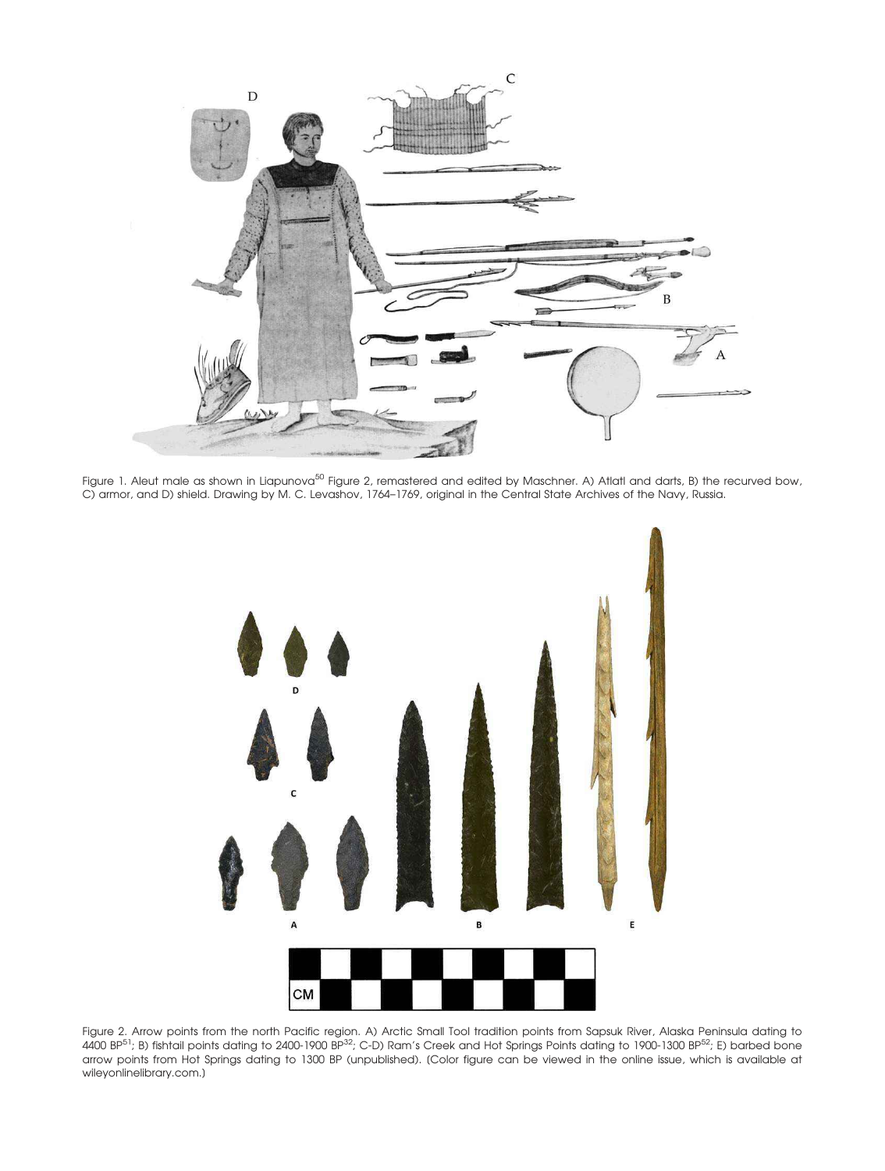

Figure 1. Aleut male as shown in Liapunova<sup>50</sup> Figure 2, remastered and edited by Maschner. A) Atlatl and darts, B) the recurved bow, C) armor, and D) shield. Drawing by M. C. Levashov, 1764–1769, original in the Central State Archives of the Navy, Russia.



Figure 2. Arrow points from the north Pacific region. A) Arctic Small Tool tradition points from Sapsuk River, Alaska Peninsula dating to 4400 BP51; B) fishtail points dating to 2400-1900 BP32; C-D) Ram's Creek and Hot Springs Points dating to 1900-1300 BP52; E) barbed bone arrow points from Hot Springs dating to 1300 BP (unpublished). [Color figure can be viewed in the online issue, which is available at wileyonlinelibrary.com.]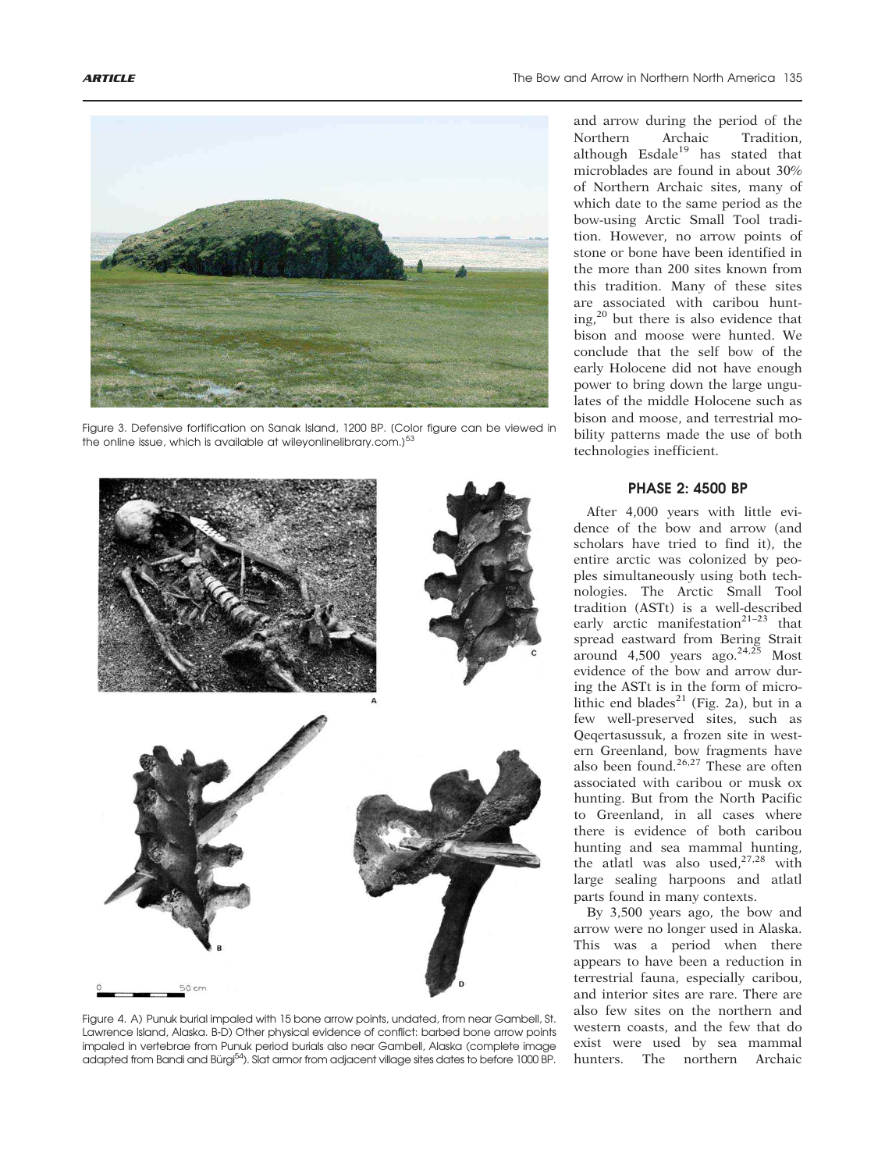

Figure 3. Defensive fortification on Sanak Island, 1200 BP. [Color figure can be viewed in the online issue, which is available at wileyonlinelibrary.com.) $53$ 



Figure 4. A) Punuk burial impaled with 15 bone arrow points, undated, from near Gambell, St. Lawrence Island, Alaska. B-D) Other physical evidence of conflict: barbed bone arrow points impaled in vertebrae from Punuk period burials also near Gambell, Alaska (complete image adapted from Bandi and Bürgi<sup>54</sup>). Slat armor from adjacent village sites dates to before 1000 BP.

and arrow during the period of the Northern Archaic Tradition, although  $Esdale<sup>19</sup>$  has stated that microblades are found in about 30% of Northern Archaic sites, many of which date to the same period as the bow-using Arctic Small Tool tradition. However, no arrow points of stone or bone have been identified in the more than 200 sites known from this tradition. Many of these sites are associated with caribou hunting,<sup>20</sup> but there is also evidence that bison and moose were hunted. We conclude that the self bow of the early Holocene did not have enough power to bring down the large ungulates of the middle Holocene such as bison and moose, and terrestrial mobility patterns made the use of both technologies inefficient.

## PHASE 2: 4500 BP

After 4,000 years with little evidence of the bow and arrow (and scholars have tried to find it), the entire arctic was colonized by peoples simultaneously using both technologies. The Arctic Small Tool tradition (ASTt) is a well-described early arctic manifestation<sup>21-23</sup> that spread eastward from Bering Strait around  $4,500$  years ago.<sup>24,25</sup> Most evidence of the bow and arrow during the ASTt is in the form of microlithic end blades<sup>21</sup> (Fig. 2a), but in a few well-preserved sites, such as Qeqertasussuk, a frozen site in western Greenland, bow fragments have also been found.<sup>26,27</sup> These are often associated with caribou or musk ox hunting. But from the North Pacific to Greenland, in all cases where there is evidence of both caribou hunting and sea mammal hunting, the atlatl was also used,  $27,28$  with large sealing harpoons and atlatl parts found in many contexts.

By 3,500 years ago, the bow and arrow were no longer used in Alaska. This was a period when there appears to have been a reduction in terrestrial fauna, especially caribou, and interior sites are rare. There are also few sites on the northern and western coasts, and the few that do exist were used by sea mammal hunters. The northern Archaic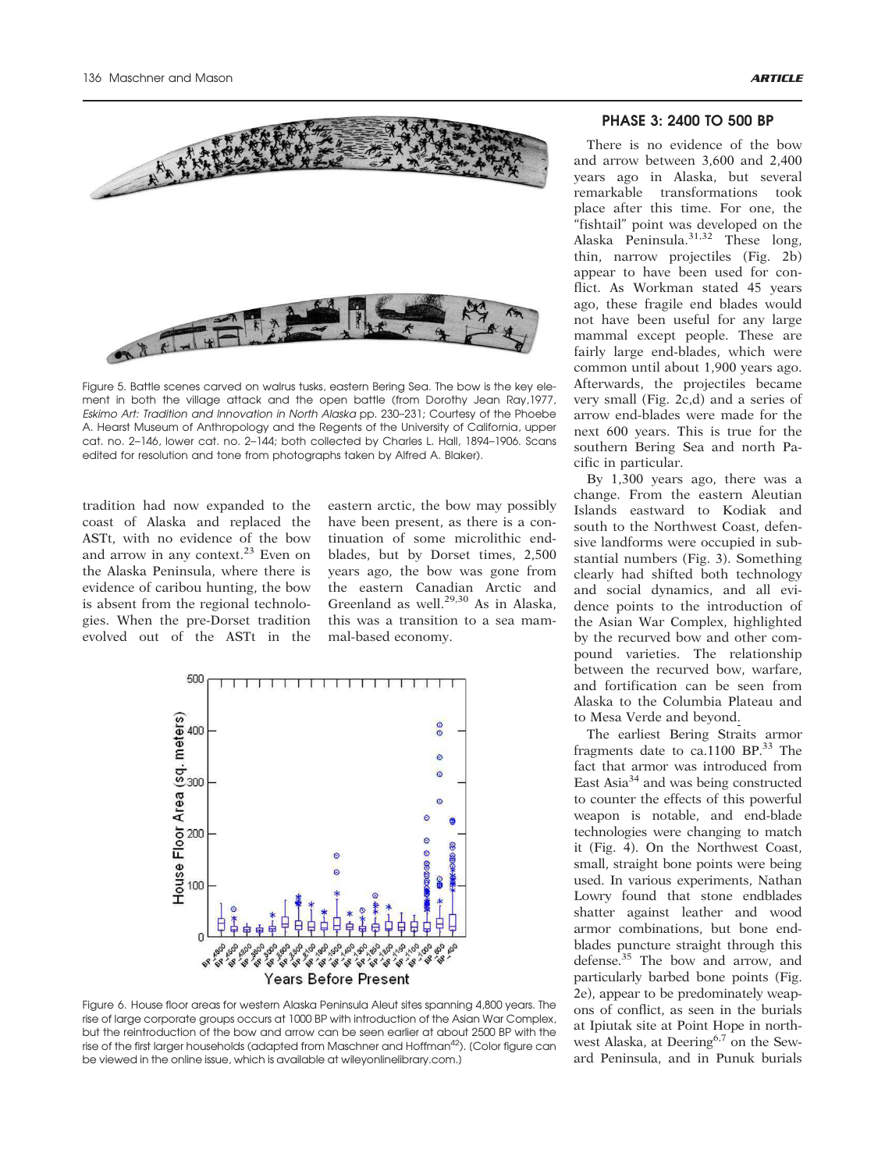

Figure 5. Battle scenes carved on walrus tusks, eastern Bering Sea. The bow is the key element in both the village attack and the open battle (from Dorothy Jean Ray,1977, Eskimo Art: Tradition and Innovation in North Alaska pp. 230–231; Courtesy of the Phoebe A. Hearst Museum of Anthropology and the Regents of the University of California, upper cat. no. 2–146, lower cat. no. 2–144; both collected by Charles L. Hall, 1894–1906. Scans edited for resolution and tone from photographs taken by Alfred A. Blaker).

tradition had now expanded to the coast of Alaska and replaced the ASTt, with no evidence of the bow and arrow in any context.<sup>23</sup> Even on the Alaska Peninsula, where there is evidence of caribou hunting, the bow is absent from the regional technologies. When the pre-Dorset tradition evolved out of the ASTt in the eastern arctic, the bow may possibly have been present, as there is a continuation of some microlithic endblades, but by Dorset times, 2,500 years ago, the bow was gone from the eastern Canadian Arctic and Greenland as well.<sup>29,30</sup> As in Alaska, this was a transition to a sea mammal-based economy.



Figure 6. House floor areas for western Alaska Peninsula Aleut sites spanning 4,800 years. The rise of large corporate groups occurs at 1000 BP with introduction of the Asian War Complex, but the reintroduction of the bow and arrow can be seen earlier at about 2500 BP with the rise of the first larger households (adapted from Maschner and Hoffman<sup>42</sup>). (Color figure can be viewed in the online issue, which is available at wileyonlinelibrary.com.]

#### PHASE 3: 2400 TO 500 BP

There is no evidence of the bow and arrow between 3,600 and 2,400 years ago in Alaska, but several remarkable transformations took place after this time. For one, the "fishtail" point was developed on the Alaska Peninsula.31,32 These long, thin, narrow projectiles (Fig. 2b) appear to have been used for conflict. As Workman stated 45 years ago, these fragile end blades would not have been useful for any large mammal except people. These are fairly large end-blades, which were common until about 1,900 years ago. Afterwards, the projectiles became very small (Fig. 2c,d) and a series of arrow end-blades were made for the next 600 years. This is true for the southern Bering Sea and north Pacific in particular.

By 1,300 years ago, there was a change. From the eastern Aleutian Islands eastward to Kodiak and south to the Northwest Coast, defensive landforms were occupied in substantial numbers (Fig. 3). Something clearly had shifted both technology and social dynamics, and all evidence points to the introduction of the Asian War Complex, highlighted by the recurved bow and other compound varieties. The relationship between the recurved bow, warfare, and fortification can be seen from Alaska to the Columbia Plateau and to Mesa Verde and beyond.

The earliest Bering Straits armor fragments date to ca.1100 BP.<sup>33</sup> The fact that armor was introduced from East Asia<sup>34</sup> and was being constructed to counter the effects of this powerful weapon is notable, and end-blade technologies were changing to match it (Fig. 4). On the Northwest Coast, small, straight bone points were being used. In various experiments, Nathan Lowry found that stone endblades shatter against leather and wood armor combinations, but bone endblades puncture straight through this defense.<sup>35</sup> The bow and arrow, and particularly barbed bone points (Fig. 2e), appear to be predominately weapons of conflict, as seen in the burials at Ipiutak site at Point Hope in northwest Alaska, at Deering<sup>6,7</sup> on the Seward Peninsula, and in Punuk burials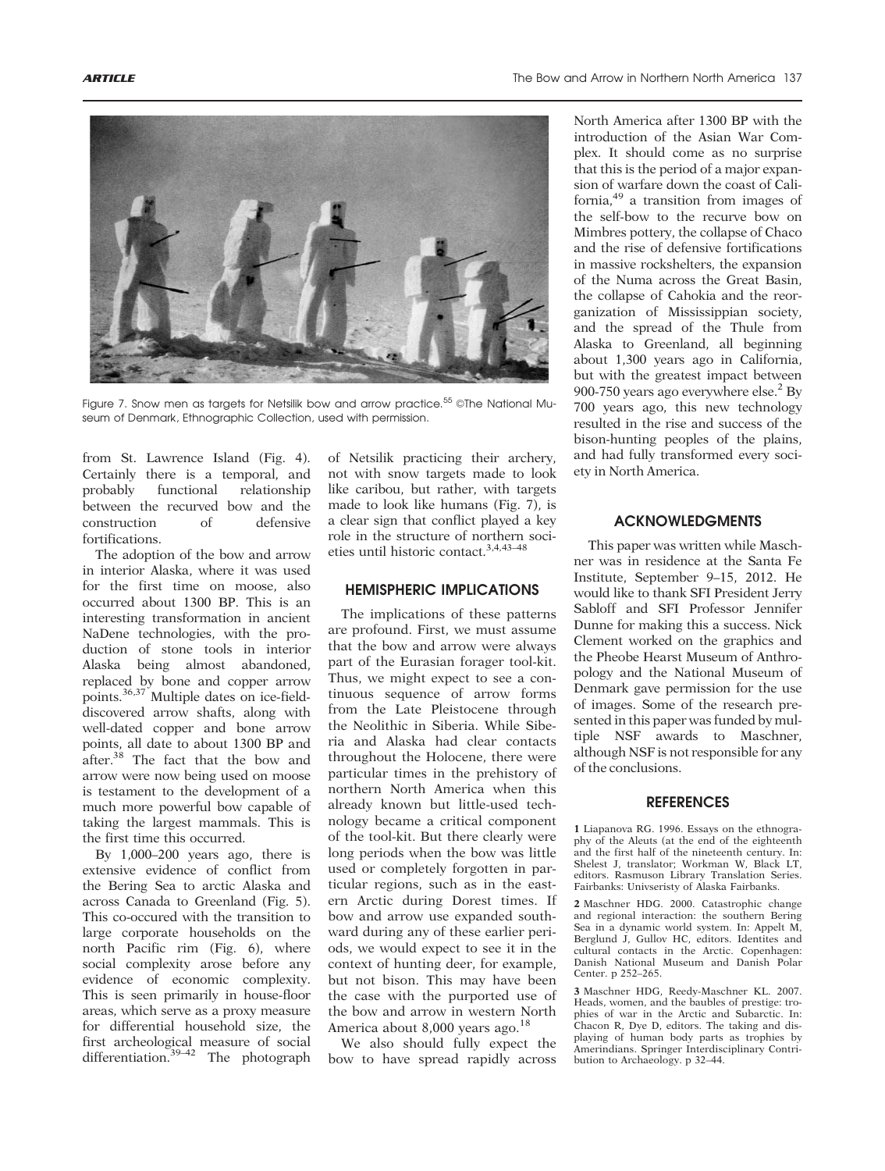

Figure 7. Snow men as targets for Netsilik bow and arrow practice.<sup>55</sup> ©The National Museum of Denmark, Ethnographic Collection, used with permission.

from St. Lawrence Island (Fig. 4). Certainly there is a temporal, and probably functional relationship between the recurved bow and the<br>construction of defensive construction of defensive fortifications.

The adoption of the bow and arrow in interior Alaska, where it was used for the first time on moose, also occurred about 1300 BP. This is an interesting transformation in ancient NaDene technologies, with the production of stone tools in interior Alaska being almost abandoned, replaced by bone and copper arrow points.36,37 Multiple dates on ice-fielddiscovered arrow shafts, along with well-dated copper and bone arrow points, all date to about 1300 BP and after.<sup>38</sup> The fact that the bow and arrow were now being used on moose is testament to the development of a much more powerful bow capable of taking the largest mammals. This is the first time this occurred.

By 1,000–200 years ago, there is extensive evidence of conflict from the Bering Sea to arctic Alaska and across Canada to Greenland (Fig. 5). This co-occured with the transition to large corporate households on the north Pacific rim (Fig. 6), where social complexity arose before any evidence of economic complexity. This is seen primarily in house-floor areas, which serve as a proxy measure for differential household size, the first archeological measure of social differentiation. $39-42$  The photograph of Netsilik practicing their archery, not with snow targets made to look like caribou, but rather, with targets made to look like humans (Fig. 7), is a clear sign that conflict played a key role in the structure of northern societies until historic contact.3,4,43–48

### HEMISPHERIC IMPLICATIONS

The implications of these patterns are profound. First, we must assume that the bow and arrow were always part of the Eurasian forager tool-kit. Thus, we might expect to see a continuous sequence of arrow forms from the Late Pleistocene through the Neolithic in Siberia. While Siberia and Alaska had clear contacts throughout the Holocene, there were particular times in the prehistory of northern North America when this already known but little-used technology became a critical component of the tool-kit. But there clearly were long periods when the bow was little used or completely forgotten in particular regions, such as in the eastern Arctic during Dorest times. If bow and arrow use expanded southward during any of these earlier periods, we would expect to see it in the context of hunting deer, for example, but not bison. This may have been the case with the purported use of the bow and arrow in western North America about 8,000 years ago.<sup>18</sup>

We also should fully expect the bow to have spread rapidly across

North America after 1300 BP with the introduction of the Asian War Complex. It should come as no surprise that this is the period of a major expansion of warfare down the coast of California,<sup>49</sup> a transition from images of the self-bow to the recurve bow on Mimbres pottery, the collapse of Chaco and the rise of defensive fortifications in massive rockshelters, the expansion of the Numa across the Great Basin, the collapse of Cahokia and the reorganization of Mississippian society, and the spread of the Thule from Alaska to Greenland, all beginning about 1,300 years ago in California, but with the greatest impact between 900-750 years ago everywhere else. $^{2}$  By 700 years ago, this new technology resulted in the rise and success of the bison-hunting peoples of the plains, and had fully transformed every society in North America.

## ACKNOWLEDGMENTS

This paper was written while Maschner was in residence at the Santa Fe Institute, September 9–15, 2012. He would like to thank SFI President Jerry Sabloff and SFI Professor Jennifer Dunne for making this a success. Nick Clement worked on the graphics and the Pheobe Hearst Museum of Anthropology and the National Museum of Denmark gave permission for the use of images. Some of the research presented in this paper was funded by multiple NSF awards to Maschner, although NSF is not responsible for any of the conclusions.

## **REFERENCES**

1 Liapanova RG. 1996. Essays on the ethnography of the Aleuts (at the end of the eighteenth and the first half of the nineteenth century. In: Shelest J, translator; Workman W, Black LT, editors. Rasmuson Library Translation Series. Fairbanks: Univseristy of Alaska Fairbanks.

2 Maschner HDG. 2000. Catastrophic change and regional interaction: the southern Bering Sea in a dynamic world system. In: Appelt M, Berglund J, Gullov HC, editors. Identites and cultural contacts in the Arctic. Copenhagen: Danish National Museum and Danish Polar Center. p 252–265.

3 Maschner HDG, Reedy-Maschner KL. 2007. Heads, women, and the baubles of prestige: trophies of war in the Arctic and Subarctic. In: Chacon R, Dye D, editors. The taking and displaying of human body parts as trophies by Amerindians. Springer Interdisciplinary Contribution to Archaeology. p 32–44.